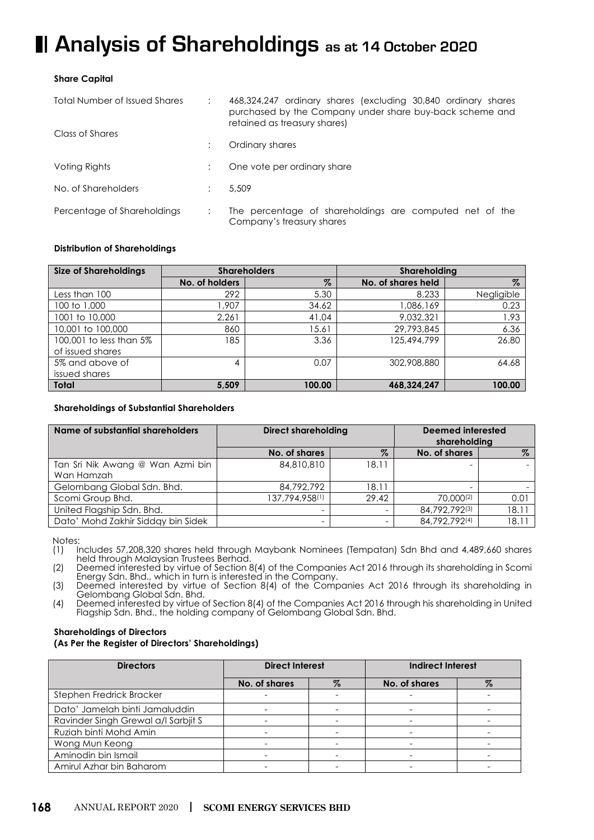# **H** Analysis of Shareholdings as at 14 October 2020

# **Share Capital**

| <b>Total Number of Issued Shares</b> |  | 468,324,247 ordinary shares (excluding 30,840 ordinary shares<br>purchased by the Company under share buy-back scheme and<br>retained as treasury shares) |  |
|--------------------------------------|--|-----------------------------------------------------------------------------------------------------------------------------------------------------------|--|
| Class of Shares                      |  | Ordinary shares                                                                                                                                           |  |
| Voting Rights                        |  | One vote per ordinary share                                                                                                                               |  |
| No. of Shareholders                  |  | 5.509                                                                                                                                                     |  |
| Percentage of Shareholdings          |  | The percentage of shareholdings are computed net of the<br>Company's treasury shares                                                                      |  |

# **Distribution of Shareholdings**

| <b>Size of Shareholdings</b> |                | <b>Shareholders</b> | Shareholding       |            |  |
|------------------------------|----------------|---------------------|--------------------|------------|--|
|                              | No. of holders | $\%$                | No. of shares held | $\%$       |  |
| Less than 100                | 292            | 5.30                | 8,233              | Negligible |  |
| 100 to 1,000                 | .907           | 34.62               | 1,086,169          | 0.23       |  |
| 1001 to 10,000               | 2,261          | 41.04               | 9.032.321          | 1.93       |  |
| 10,001 to 100,000            | 860            | 15.61               | 29,793,845         | 6.36       |  |
| 100,001 to less than 5%      | 185            | 3.36                | 125,494,799        | 26.80      |  |
| of issued shares             |                |                     |                    |            |  |
| 5% and above of              | 4              | 0.07                | 302,908,880        | 64.68      |  |
| issued shares                |                |                     |                    |            |  |
| <b>Total</b>                 | 5,509          | 100.00              | 468.324.247        | 100.00     |  |

## **Shareholdings of Substantial Shareholders**

| Name of substantial shareholders   | <b>Direct shareholding</b> |       | Deemed interested<br>shareholding |       |
|------------------------------------|----------------------------|-------|-----------------------------------|-------|
|                                    | No. of shares              | $\%$  | No. of shares                     | $\%$  |
| Tan Sri Nik Awang @ Wan Azmi bin   | 84,810,810                 | 18.11 |                                   |       |
| Wan Hamzah                         |                            |       |                                   |       |
| Gelombang Global Sdn. Bhd.         | 84,792,792                 | 18.11 |                                   |       |
| Scomi Group Bhd.                   | 137,794,958(1)             | 29.42 | 70.000(2)                         | 0.01  |
| United Flagship Sdn. Bhd.          | ۰                          |       | 84,792,792(3)                     | 18.11 |
| Dato' Mohd Zakhir Sidday bin Sidek | -                          |       | 84,792,792(4)                     | 18.11 |

Notes: Notes:

(1) Includes 57,208,320 shares held through Maybank Nominees (Tempatan) Sdn Bhd and 4,489,660 shares (1) Includes 57,208,320 shares held through Maybank Nominees (Tempatan) Sdn Bhd and 4,489,660 shares held through Malaysian Trustees Berhad.

Deemed interested by virtue of Section Energy Sdn. Bhd., which in turn is interested in the Company. (2) Deemed interested by virtue of Section 8(4) of the Companies Act 2016 through its shareholding in Scomi Energy Sdn. Bhd., which in turn is interested in the Company.

Deemed interested by virtue of section  $8(4)$  of the Company. (3) Deemed interested by virtue of Section 8(4) of the Companies Act 2016 through its shareholding in (3) Deemed interested by virtue of Section 8(4) of the Companies Act 2016 through its shareholding in Gelombang Global Sdn. Bhd.

Gelombang Global Sdn. Bhd. Flagship Sdn. Bhd., the holding company of Gelombang Global Sdn. Bhd. (4) Deemed interested by virtue of Section 8(4) of the Companies Act 2016 through his shareholding in United

#### **Shareholdings of Directors (As Per the Register of Directors' Shareholdings)**

| <b>Directors</b>                    | <b>Direct Interest</b>   |      | <b>Indirect Interest</b> |   |
|-------------------------------------|--------------------------|------|--------------------------|---|
|                                     | No. of shares            | $\%$ | No. of shares            | % |
| Stephen Fredrick Bracker            |                          |      |                          |   |
| Dato' Jamelah binti Jamaluddin      | $\overline{\phantom{0}}$ |      |                          |   |
| Ravinder Singh Grewal a/l Sarbjit S |                          |      |                          |   |
| Ruziah binti Mohd Amin              |                          |      |                          |   |
| Wong Mun Keong                      | $\overline{\phantom{0}}$ |      |                          |   |
| Aminodin bin Ismail                 |                          |      |                          |   |
| Amirul Azhar bin Baharom            |                          |      |                          |   |